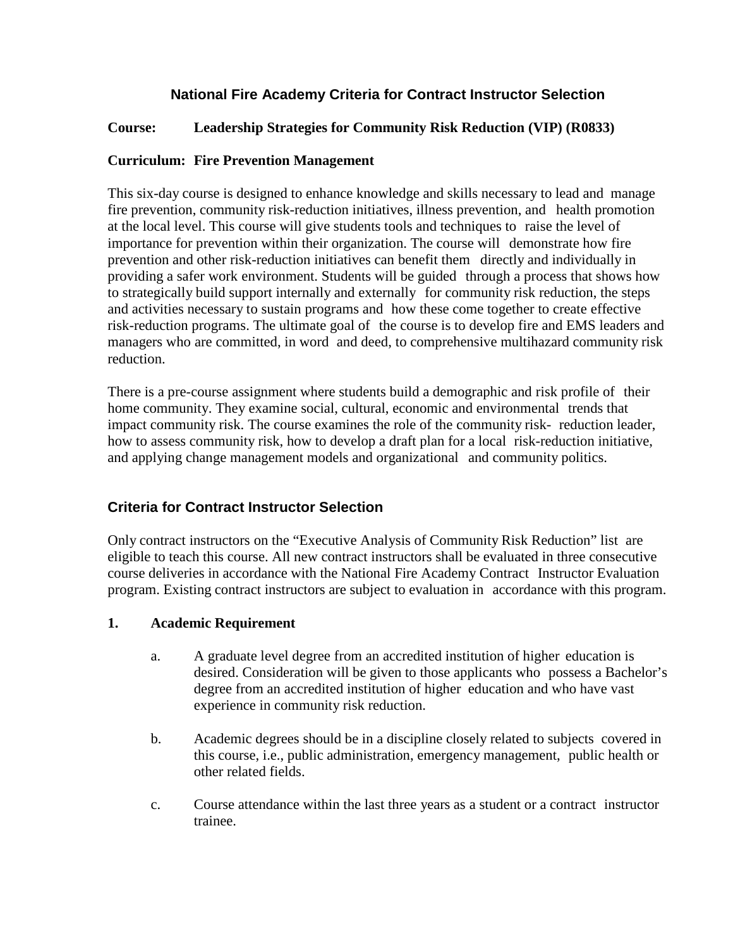# **National Fire Academy Criteria for Contract Instructor Selection**

## **Course: Leadership Strategies for Community Risk Reduction (VIP) (R0833)**

## **Curriculum: Fire Prevention Management**

This six-day course is designed to enhance knowledge and skills necessary to lead and manage fire prevention, community risk-reduction initiatives, illness prevention, and health promotion at the local level. This course will give students tools and techniques to raise the level of importance for prevention within their organization. The course will demonstrate how fire prevention and other risk-reduction initiatives can benefit them directly and individually in providing a safer work environment. Students will be guided through a process that shows how to strategically build support internally and externally for community risk reduction, the steps and activities necessary to sustain programs and how these come together to create effective risk-reduction programs. The ultimate goal of the course is to develop fire and EMS leaders and managers who are committed, in word and deed, to comprehensive multihazard community risk reduction.

There is a pre-course assignment where students build a demographic and risk profile of their home community. They examine social, cultural, economic and environmental trends that impact community risk. The course examines the role of the community risk- reduction leader, how to assess community risk, how to develop a draft plan for a local risk-reduction initiative, and applying change management models and organizational and community politics.

# **Criteria for Contract Instructor Selection**

Only contract instructors on the "Executive Analysis of Community Risk Reduction" list are eligible to teach this course. All new contract instructors shall be evaluated in three consecutive course deliveries in accordance with the National Fire Academy Contract Instructor Evaluation program. Existing contract instructors are subject to evaluation in accordance with this program.

#### **1. Academic Requirement**

- a. A graduate level degree from an accredited institution of higher education is desired. Consideration will be given to those applicants who possess a Bachelor's degree from an accredited institution of higher education and who have vast experience in community risk reduction.
- b. Academic degrees should be in a discipline closely related to subjects covered in this course, i.e., public administration, emergency management, public health or other related fields.
- c. Course attendance within the last three years as a student or a contract instructor trainee.